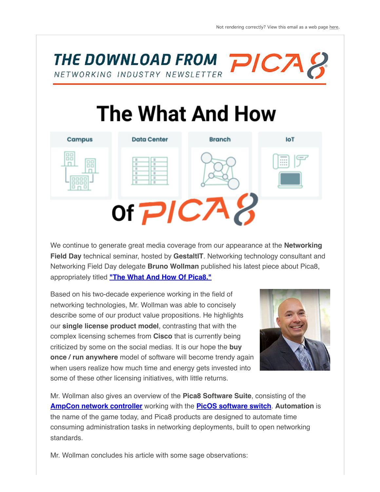THE DOWNLOAD FROM PICA NETWORKING INDUSTRY NEWSLETTER

## **The What And How**



We continue to generate great media coverage from our appearance at the **Networking Field Day** technical seminar, hosted by **GestaltIT**. Networking technology consultant and Networking Field Day delegate **Bruno Wollman** published his latest piece about Pica8, appropriately titled **["The What And How Of Pica8."](https://brunowollmann.com/2022/06/the-what-and-how-of-pica8/?_hsenc=p2ANqtz-937Gydb0ht3lapkI4Tprc8e41VaO_qFBnOHxLE5YNYhw5xXfViso9sll9Uxo3HlKPwXeyG6lMd20KDka80pHzIHYmEKhOR-oBKmAB5Zg-Z12l7xkU)**

Based on his two-decade experience working in the field of networking technologies, Mr. Wollman was able to concisely describe some of our product value propositions. He highlights our **single license product model**, contrasting that with the complex licensing schemes from **Cisco** that is currently being criticized by some on the social medias. It is our hope the **buy once / run anywhere** model of software will become trendy again when users realize how much time and energy gets invested into some of these other licensing initiatives, with little returns.



Mr. Wollman also gives an overview of the **Pica8 Software Suite**, consisting of the **[AmpCon network controller](https://www.pica8.com/ampcon-network-controller/?_hsenc=p2ANqtz-937Gydb0ht3lapkI4Tprc8e41VaO_qFBnOHxLE5YNYhw5xXfViso9sll9Uxo3HlKPwXeyG6lMd20KDka80pHzIHYmEKhOR-oBKmAB5Zg-Z12l7xkU)** working with the **[PicOS software switch](https://www.pica8.com/picos-software/?_hsenc=p2ANqtz-937Gydb0ht3lapkI4Tprc8e41VaO_qFBnOHxLE5YNYhw5xXfViso9sll9Uxo3HlKPwXeyG6lMd20KDka80pHzIHYmEKhOR-oBKmAB5Zg-Z12l7xkU)**. **Automation** is the name of the game today, and Pica8 products are designed to automate time consuming administration tasks in networking deployments, built to open networking standards.

Mr. Wollman concludes his article with some sage observations: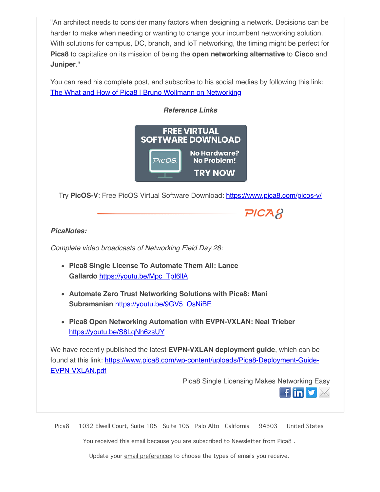"An architect needs to consider many factors when designing a network. Decisions can be harder to make when needing or wanting to change your incumbent networking solution. With solutions for campus, DC, branch, and IoT networking, the timing might be perfect for **Pica8** to capitalize on its mission of being the **open networking alternative** to **Cisco** and **Juniper**."

You can read his complete post, and subscribe to his social medias by following this link: [The What and How of Pica8 | Bruno Wollmann on Networking](https://brunowollmann.com/2022/06/the-what-and-how-of-pica8/?_hsenc=p2ANqtz-937Gydb0ht3lapkI4Tprc8e41VaO_qFBnOHxLE5YNYhw5xXfViso9sll9Uxo3HlKPwXeyG6lMd20KDka80pHzIHYmEKhOR-oBKmAB5Zg-Z12l7xkU)



Try **PicOS-V**: Free PicOS Virtual Software Download: [https://www.pica8.com/picos-v/](https://www.pica8.com/picos-v/?_hsenc=p2ANqtz-937Gydb0ht3lapkI4Tprc8e41VaO_qFBnOHxLE5YNYhw5xXfViso9sll9Uxo3HlKPwXeyG6lMd20KDka80pHzIHYmEKhOR-oBKmAB5Zg-Z12l7xkU)

## *PicaNotes:*

*Complete video broadcasts of Networking Field Day 28:*

- **Pica8 Single License To Automate Them All: Lance Gallardo** [https://youtu.be/Mpc\\_TpI6llA](https://youtu.be/Mpc_TpI6llA?_hsenc=p2ANqtz-937Gydb0ht3lapkI4Tprc8e41VaO_qFBnOHxLE5YNYhw5xXfViso9sll9Uxo3HlKPwXeyG6lMd20KDka80pHzIHYmEKhOR-oBKmAB5Zg-Z12l7xkU)
- **Automate Zero Trust Networking Solutions with Pica8: Mani Subramanian** [https://youtu.be/9GV5\\_OsNiBE](https://youtu.be/9GV5_OsNiBE?_hsenc=p2ANqtz-937Gydb0ht3lapkI4Tprc8e41VaO_qFBnOHxLE5YNYhw5xXfViso9sll9Uxo3HlKPwXeyG6lMd20KDka80pHzIHYmEKhOR-oBKmAB5Zg-Z12l7xkU)
- **Pica8 Open Networking Automation with EVPN-VXLAN: Neal Trieber** [https://youtu.be/S8LqNh6zsUY](https://youtu.be/S8LqNh6zsUY?_hsenc=p2ANqtz-937Gydb0ht3lapkI4Tprc8e41VaO_qFBnOHxLE5YNYhw5xXfViso9sll9Uxo3HlKPwXeyG6lMd20KDka80pHzIHYmEKhOR-oBKmAB5Zg-Z12l7xkU)

We have recently published the latest **EVPN-VXLAN deployment guide**, which can be [found at this link: https://www.pica8.com/wp-content/uploads/Pica8-Deployment-Guide-](https://www.pica8.com/wp-content/uploads/Pica8-Deployment-Guide-EVPN-VXLAN.pdf?_hsenc=p2ANqtz-937Gydb0ht3lapkI4Tprc8e41VaO_qFBnOHxLE5YNYhw5xXfViso9sll9Uxo3HlKPwXeyG6lMd20KDka80pHzIHYmEKhOR-oBKmAB5Zg-Z12l7xkU)EVPN-VXLAN.pdf

Pica8 Single Licensing Makes Networking Easy

**f** in  $\mathbf{v}$   $\mathbb{M}$ 

 $PICAR$ 

Pica8 1032 Elwell Court, Suite 105 Suite 105 Palo Alto California 94303 United States

You received this email because you are subscribed to Newsletter from Pica8 .

Update your [email preferences](https://email.pica8.com/hs/manage-preferences/unsubscribe?languagePreference=en&d=Vn7Zsv59dpbYW1mQf3w49J-GMW3Z_TQD3XYkCVW4fGCtq2m6wc9W3R5j3P3S-q0dW3zd18V43T2NDW8j-KtP7Xwp9pMGKd_P20N85W34LTGn1P0DR1W1SLC0t45YGs651s0b71&v=3&_hsenc=p2ANqtz-937Gydb0ht3lapkI4Tprc8e41VaO_qFBnOHxLE5YNYhw5xXfViso9sll9Uxo3HlKPwXeyG6lMd20KDka80pHzIHYmEKhOR-oBKmAB5Zg-Z12l7xkU) to choose the types of emails you receive.